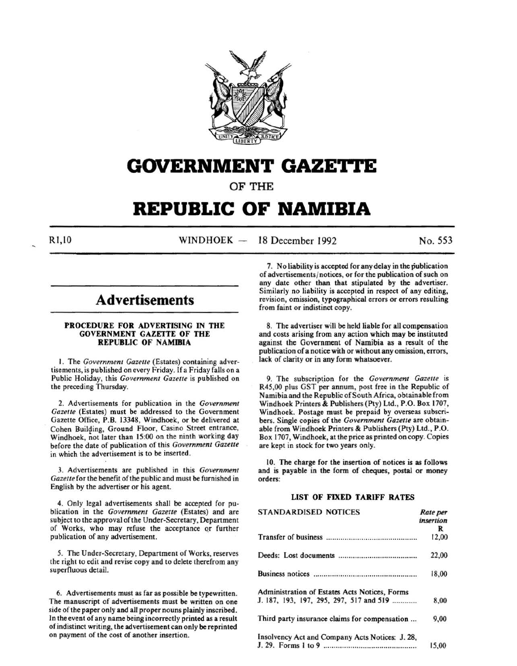

# **GOVERNMENT GAZETtE**

OF THE

# **REPUBLIC OF NAMIBIA**

 $R1,10$  WINDHOEK - 18 December 1992 No. 553

## **Advertisements**

## PROCEDURE FOR ADVERTISING IN THE GOVERNMENT GAZETTE OF THE REPUBLIC OF NAMIBIA

I. The *Government Gazette* (Estates) containing advertisements, is published on every Friday. If a Friday falls on a Public Holiday, this *Government Gazette* is published on the preceding Thursday.

2. Advertisements for publication in the *Government Gazette* (Estates) must be addressed to the Government Gazette Office, P.B. 13348, Windhoek, or be delivered at Cohen Building, Ground Floor, Casino Street entrance, Windhoek, not later than 15:00 on the ninth working day before the date of publication of this *Government Gazette*  in which the advertisement is to be inserted.

3. Advertisements are published in this *Government Gazette* for the benefit of the public and must be furnished in English by the advertiser or his agent.

4. Only legal advertisements shall be accepted for publication in the *Government Gazette* (Estates) and are subject to the approval of the Under-Secretary, Department of Works, who may refuse the acceptance or further publication of any advertisement.

5. The Under-Secretary, Department of Works, reserves the right to edit and revise copy and to delete therefrom any superfluous detail.

6. Advertisements must as far as possible be typewritten. The manuscript of advertisements must be written on one side of the paper only and all proper nouns plainly inscribed. In the event of any name being incorrectly printed as a result of indistinct writing, the advertisement can only be reprinted on payment of the cost of another insertion.

7. No liability is accepted for any delay in the publication of advertisements/ notices, or for the publication of such on any date other than that stipulated by the advertiser. Similarly no liability is accepted in respect of any editing, revision, omission, typographical errors or errors resulting from faint or indistinct copy.

8. The advertiser will be held liable for all compensation and costs arising from any action which may be instituted against the Government of Namibia as a result of the publication of a notice with or without any omission, errors, lack of clarity or in any form whatsoever.

9. The subscription for the *Government Gazette* is R45,00 plus GST per annum, post free in the Republic of Namibia and the Republic of South Africa, obtainable from Windhoek Printers & Publishers (Pty) Ltd., P.O. Box 1707, Windhoek. Postage must be prepaid by overseas subscribers. Single copies of the *Government Gazette* are obtainable from Windhoek Printers & Publishers (Pty) Ltd., P.O. Box 1707, Windhoek, at the price as printed on copy. Copies are kept in stock for two years only.

10. The charge for the insertion of notices is as follows and is payable in the form of cheques, postal or money orders:

## LIST OF FIXED TARIFF RATES

| <b>STANDARDISED NOTICES</b>                     | Rate per<br>insertion |
|-------------------------------------------------|-----------------------|
|                                                 | R                     |
|                                                 | 12,00                 |
|                                                 | 22,00                 |
|                                                 | 18,00                 |
| Administration of Estates Acts Notices, Forms   |                       |
| J. 187, 193, 197, 295, 297, 517 and 519         | 8,00                  |
| Third party insurance claims for compensation   | 9,00                  |
| Insolvency Act and Company Acts Notices: J. 28, |                       |
|                                                 | 15.00                 |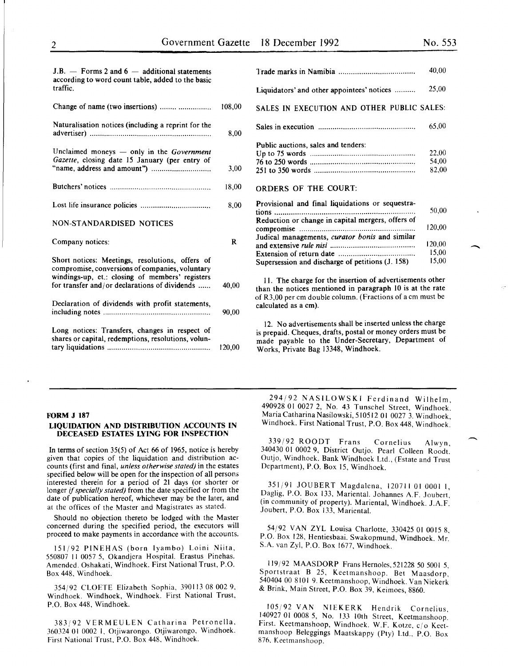-

| $J.B.$ - Forms 2 and 6 - additional statements                |        |
|---------------------------------------------------------------|--------|
| according to word count table, added to the basic<br>traffic. |        |
| Change of name (two insertions)                               | 1ሰՋ ሰበ |

| Naturalisation notices (including a reprint for the                                                                                                                                                    | 8,00  |
|--------------------------------------------------------------------------------------------------------------------------------------------------------------------------------------------------------|-------|
| Unclaimed moneys $-$ only in the Government<br>Gazette, closing date 15 January (per entry of                                                                                                          | 3,00  |
|                                                                                                                                                                                                        | 18,00 |
|                                                                                                                                                                                                        | 8,00  |
| <b>NON-STANDARDISED NOTICES</b>                                                                                                                                                                        |       |
|                                                                                                                                                                                                        |       |
| Company notices:                                                                                                                                                                                       | R     |
| Short notices: Meetings, resolutions, offers of<br>compromise, conversions of companies, voluntary<br>windings-up, et.: closing of members' registers<br>for transfer and/or declarations of dividends | 40,00 |
| Declaration of dividends with profit statements,                                                                                                                                                       | 90,00 |

|                                                                                                       | 40,00                   |
|-------------------------------------------------------------------------------------------------------|-------------------------|
| Liquidators' and other appointees' notices                                                            | 25,00                   |
| SALES IN EXECUTION AND OTHER PUBLIC SALES:                                                            |                         |
|                                                                                                       | 65,00                   |
| Public auctions, sales and tenders:                                                                   | 22,00<br>54,00<br>82,00 |
| ORDERS OF THE COURT:                                                                                  |                         |
| Provisional and final liquidations or sequestra-<br>Reduction or change in capital mergers, offers of | 50,00                   |
|                                                                                                       | 120.00                  |
| Judical managements, curator bonis and similar                                                        | 120,00                  |
|                                                                                                       | 15,00                   |
| Supersession and discharge of petitions (J. 158)                                                      | 15,00                   |

II. The charge for the insertion of advertisements other than the notices mentioned in paragraph 10 is at the rate of R3,00 per em double column. (Fractions of a em must be calculated as a em).

12. No advertisements shall be inserted unless the charge is prepaid. Cheques, drafts, postal or money orders must be made payable to the Under-Secretary, Department of Works, Private Bag 13348, Windhoek.

#### FORM J 187

## LIQUIDATION AND DISTRIBUTION ACCOUNTS IN DECEASED ESTATES LYING FOR INSPECTION

In terms of section 35(5) of Act 66 of 1965, notice is hereby given that copies of the liquidation and distribution accounts (first and final, *unless otherwise stated)* in the estates specified below will be open for the inspection of all persons interested therein for a period of 21 days (or shorter or longer if *specially stated)* from the date specified or from the date of publication hereof, whichever may be the later, and at the offices of the Master and Magistrates as stated.

Should no objection thereto be lodged with the Master concerned during the specified period, the executors will proceed to make payments in accordance with the accounts.

151/92 PINEHAS (born Iyambo) Loini Niita, 550807 II 0057 5, Okandjera Hospital. Erastus Pinehas. Amended. Oshakati, Windhoek. First National Trust, P.O. Box 448, Windhoek.

354/92 CLOETE Elizabeth Sophia, 390113 08 002 9, Windhoek. Windhoek, Windhoek. First National Trust, P.O. Box 448, Windhoek.

383/92 VERMEULEN Catharina Petronella, 360324 01 0002 1, Otjiwarongo. Otjiwarongo, Windhoek. First National Trust, P.O. Box 448, Windhoek.

294/92 NASILOWSKI Ferdinand Wilhelm, 490928 01 0027 2, No. 43 Tunschel Street, Windhoek. Maria Catharina Nasilowski, 510512 01 0027 3. Windhoek, Windhoek. First National Trust, P.O. Box 448, Windhoek.

339/92 ROODT Frans Cornelius Alwyn, 340430 01 0002 9, District Outjo. Pearl Colleen Roodt. Outjo, Windhoek. Bank Windhoek Ltd., (Estate and Trust Department), P.O. Box 15, Windhoek.

351/91 JOUBERT Magdalena, 120711010001 I, Daglig, P.O. Box 133, Mariental. Johannes A.F. Joubert, (in community of property). Mariental, Windhoek. J.A.F. Joubert, P.O. Box 133, Mariental.

54/92 VAN ZYL Louisa Charlotte, 330425 01 0015 8. P.O. Box 128, Hentiesbaai. Swakopmund, Windhoek. Mr. S.A. van Zyl, P.O. Box 1677, Windhoek.

119/92 MAASDORP Frans Hernoles,521228 50 5001 5. Sportstraat B 25, Keetmanshoop. Bet Maasdorp, 540404 00 8101 9. Keetmanshoop, Windhoek. Van Niekerk & Brink, Main Street, P.O. Box 39, Keimoes, 8860.

l05j92 VAN NIEKERK Hendrik Cornelius, 140927 01 0008 5, No. 133 10th Street, Keetmanshoop. First. Keetmanshoop, Windhoek. W.F. Kotze, c/o Keetmanshoop Beleggings Maatskappy (Pty) Ltd., P.O. Box 876. Keetmanshoop.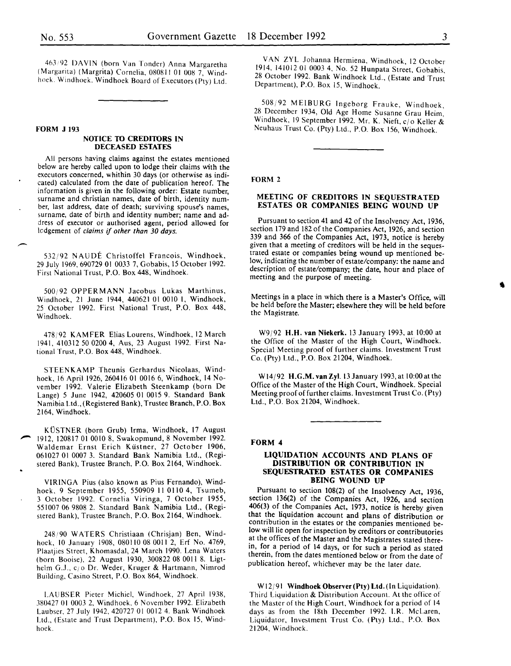463/92 DAVIN (born Van Tonder) Anna Margaretha (Marganta) (Margnta) Cornelia, 080811 01 008 7, Windhoek. Windhoek. Windhoek Board of Executors (Pty) Ltd.

#### FORM J 193

## NOTICE TO CREDITORS IN DECEASED ESTATES

All persons having claims against the estates mentioned below are hereby called upon to lodge their claims with the executors concerned, whithin 30 days (or otherwise as indicated) calculated from the date of publication hereof. The information is given in the following order: Estate number, surname and christian names, date of birth, identity number, last address, date of death; surviving spouse's names, surname, date of birth and identity number; name and address of executor or authorised agent, period allowed for lcdgement of *claims* if *other than 30 days.* 

532/92 NAUDE Christoffel Francois, Windhoek, 29 July 1969,690729 01 0033 7, Gobabis, IS October 1992. First National Trust, P.O. Box 448, Windhoek.

500;92 OPPERMANN Jacobus Lukas Marthinus, Windhoek, 21 June 1944, 440621 01 0010 I, Windhoek, 25 October 1992. First National Trust, P.O. Box 448, Windhoek.

478/92 KAMFER Elias Lourens, Windhoek, 12 March 1941, 410312 SO 0200 4, Aus, 23 August 1992. First National Trust, P.O. Box 448, Windhoek.

STEENKAMP Theunis Gerhardus Nicolaas, Windhoek, 16 April 1926, 260416 01 0016 6, Windhoek, 14 November 1992. Valerie Elizabeth Steenkamp (born De Lange) S June 1942, 420605 01 0015 9. Standard Bank Namibia Ltd., (Registered Bank), Trustee Branch, P.O. Box 2164, Windhoek.

KUSTNER (born Grub) Irma, Windhoek, 17 August 1912, 120817 01 0010 8, Swakopmund, 8 November 1992. Waldemar Ernst Erich Küstner, 27 October 1906, 061027 01 0007 3. Standard Bank Namibia Ltd., (Registered Bank), Trustee Branch, P.O. Box 2164, Windhoek.

VIRINGA Pius (also known as Pius Fernando), Windhoek, 9 September 1955, 550909 II OliO 4, Tsumeb, 3 October 1992. Cornelia Viringa, 7 October 1955, 551007 06 9808 2. Standard Bank Namibia Ltd., (Registered Bank), Trustee Branch, P.O. Box 2164, Windhoek.

248/90 WATERS Christiaan (Chrisjan) Ben, Windhoek, 10 January 1908, 080110 08 0011 2, Erf No. 4769, Plaatjies Street, Khomasdal, 24 March 1990. Lena Waters (born Booise), 22 August 1930, 300822 08 0011 8. Ligthelm G.J., c; o Dr. Weder, Kruger & Hartmann, Nimrod Building, Casino Street, P.O. Box 864, Windhoek.

LAUBSER Pieter Michiel, Windhoek, 27 April 1938, 380427 01 0003 2, Windhoek, 6 November 1992. Elizabeth Laubser, 27 July 1942, 420727 01 0012 4. Bank Windhoek Ltd., (Estate and Trust Department), P.O. Box IS, Windhoek.

VAN ZYL Johanna Hermiena, Windhoek, 12 October 1914, 141012 01 0003 4, No. 52 Hunpata Street, Gobabis, 28 October 1992. Bank Windhoek Ltd., (Estate and Trust Department), P.O. Box IS, Windhoek.

508/92 ME!BURG Ingeborg Frauke, Windhoek, 28 December 1934, Old Age Home Susanne Grau Heim Windhoek, 19 September 1992. Mr. K. Nieft, c/o Keller & Neuhaus Trust Co. (Pty) Ltd., P.O. Box 156, Windhoek.

FORM 2

## MEETING OF CREDITORS IN SEQUESTRATED ESTATES OR COMPANIES BEING WOUND UP

Pursuant to section 41 and 42 of the Insolvency Act, 1936, section 179 and 182 of the Companies Act, 1926, and section 339 and 366 of the Companies Act, 1973, notice is hereby given that a meeting of creditors will be held in the sequestrated estate or companies being wound up mentioned below, indicating the number of estate/company: the name and description of estate/company; the date, hour and place of meeting and the purpose of meeting.

Meetings in a place in which there is a Master's Office, will be held before the Master; elsewhere they will be held before the Magistrate.

W9/92 H.H. van Niekerk. 13 January 1993, at 10:00 at the Office of the Master of the High Court, Windhoek. Special Meeting proof of further claims. Investment Trust Co. (Pty) Ltd., P.O. Box 21204, Windhoek.

W14/92 H.G.M. van Zyl. 13 January 1993, at 10:00 at the Office of the Master of the High Court, Windhoek. Special Meeting proof of further claims. Investment Trust Co. (Pty) Ltd., P.O. Box 21204, Windhoek.

## FORM 4

## LIQUIDATION ACCOUNTS AND PLANS OF DISTRIBUTION OR CONTRIBUTION IN SEQUESTRATED ESTATES OR COMPANIES BEING WOUND UP

Pursuant to section 108(2) of the Insolvency Act, 1936, section 136(2) of the Companies Act, 1926, and section 406(3) of the Companies Act, 1973, notice is hereby given that the liquidation account and plans of distribution or contribution in the estates or the companies mentioned below will lie open for inspection by creditors or contributories at the offices of the Master and the Magistrates stated therein, for a period of 14 days, or for such a period as stated therein, from the dates mentioned below or from the date of publication hereof, whichever may be the later date.

W12/91 Windhoek Observer (Pty) Ltd. (In Liquidation). Third Liquidation & Distribution Account. At the office of the Master of the High Court, Windhoek for a period of 14 days as from the 18th December 1992. l.R. McLaren, Liquidator, Investment Trust Co. (Pty) Ltd., P.O. Box 21204, Windhoek.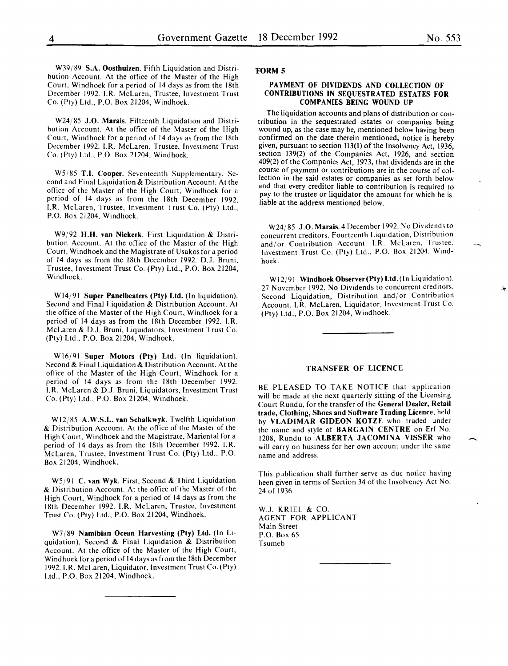W39/89 S.A. Oosthuizen. Fifth Liquidation and Distribution Account. At the office of the Master of the High Court. Windhoek for a period of 14 days as from the 18th December 1992. I.R. McLaren, Trustee, Investment Trust Co. (Pty) Ltd., P.O. Box 21204, Windhoek.

W24/85 J.O. Marais. Fifteenth Liquidation and Distribution Account. At the office of the Master of the High Court, Windhoek for a period of 14 days as from the 18th December 1992. I.R. McLaren, Trustee, Investment Trust Co. ( Pty) Ltd., P.O. Box 21204, Windhoek.

W5/85 T.I. Cooper. Seventeenth Supplementary. Second and Final Liquidation & Distribution Account. At the office of the Master of the High Court, Windhoek for a period of 14 days as from the 18th December 1992. I.R. McLaren, Trustee, Investment I rust Co. (Pty) Ltd., P.O. Box 21204, Windhoek.

W9/92 H.H. van Niekerk. First Liquidation & Distribution Account. At the office of the Master of the High Court, Windhoek and the Magistrate of Usakos for a period of 14 days as from the 18th December 1992. D.J. Bruni, Trustee, Investment Trust Co. (Pty) Ltd., P.O. Box 21204, Windhoek.

W14/91 Super Panelbeaters (Pty) Ltd. (In liquidation). Second and Final Liquidation & Distribution Account. At the office of the Master of the High Court, Windhoek for a period of 14 days as from the 18th December 1992. I.R. McLaren & D.J. Bruni, Liquidators, Investment Trust Co. (Pty) Ltd., P.O. Box 21204, Windhoek.

Wl6j91 Super Motors (Pty) Ltd. (In liquidation). Second & Final Liquidation & Distribution Account. At the office of the Master of the High Court, Windhoek for a period of 14 days as from the 18th December 1992. I.R. McLaren & D.J. Bruni, Liquidators, Investment Trust Co. (Pty) Ltd., P.O. Box 21204, Windhoek.

Wl2j85 A.W.S.L. van Schalkwyk. Twelfth Liquidation & Distribution Account. At the office of the Master of the High Court, Windhoek and the Magistrate, Mariental for a period of 14 days as from the 18th December 1992. I.R. McLaren, Trustee, Investment Trust Co. (Pty) Ltd., P.O. Box 21204, Windhoek.

W5/91 C. van Wyk. First, Second & Third Liquidation & Distribution Account. At the office of the Master of the High Court, Windhoek for a period of 14 days as from the 18th December 1992. I.R. McLaren, Trustee, Investment Trust Co. (Pty) Ltd., P.O. Box 21204, Windhoek.

W7j89 Namibian Ocean Harvesting (Pty) Ltd. (In Liquidation). Second & Final Liquidation & Distribution Account. At the office of the Master of the High Court, Windhoek for a period of 14 days as from the 18th December 1992. I. R. McLaren, Liquidator, Investment Trust Co. (Pty) Ltd., P.O. Box 21204, Windhoek.

## 'FORM 5

## PAYMENT OF DIVIDENDS AND COLLECTION OF CONTRIBUTIONS IN SEQUESTRATED ESTATES FOR COMPANIES BEING WOUND UP

The liquidation accounts and plans of distribution or contribution in the sequestrated estates or companies being wound up, as the case may be, mentioned below having been confirmed on the date therein mentioned, notice is hereby given, pursuant to section 113(1) of the Insolvency Act, 1936, section 139(2) of the Companies Act, 1926, and section 409(2) of the Companies Act, 1973, that dividends are in the course of payment or contributions are in the course of collection in the said estates or companies as set forth below and that every creditor liable to contribution is required to pay to the trustee or liquidator the amount for which he is liable at the address mentioned below.

W24/85 J.O. Marais. 4 December 1992. No Dividends to concurrent creditors. Fourteenth Liquidation, Distribution and/or Contribution Account. I.R. McLaren. Trustee. Investment Trust Co. (Pty) Ltd., P.O. Box 21204, Windhoek.

W12/91 Windhoek Observer (Pty) Ltd. (In Liquidation). 27 November 1992. No Dividends to concurrent creditors. Second Liquidation, Distribution and/or Contribution Account. I.R. McLaren, Liquidator, Investment Trust Co. (Pty) Ltd., P.O. Box 21204, Windhoek.

#### TRANSFER OF LICENCE

BE PLEASED TO TAKE NOTICE that application will be made at the next quarterly sitting of the Licensing Court Rundu, for the transfer of the General Dealer, Retail trade, Clothing, Shoes and Software Trading Licence, held by VLADIMAR GIDEON KOTZE who traded under the name and style of BARGAIN CENTRE on Erf No. 1208, Rundu to ALBERTA JACOMINA VISSER who will carry on business for her own account under the same name and address.

This publication shall further serve as due notice having been given in terms of Section 34 of the Insolvency Act No. 24 of 1936.

W.J. KRIEL & CO. AGENT FOR APPLICANT Main Street P.O. Box 65 Tsumeb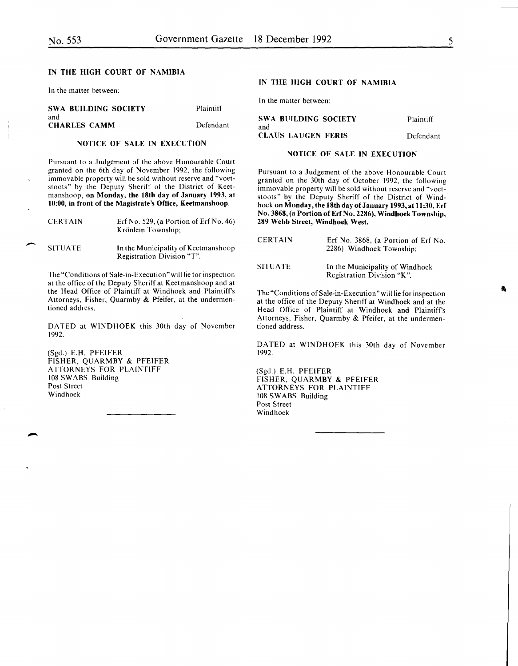-

-

## IN THE HIGH COURT OF NAMIBIA

In the matter between:

| <b>SWA BUILDING SOCIETY</b> | Plaintiff |                   |
|-----------------------------|-----------|-------------------|
| and<br><b>CHARLES CAMM</b>  | Defendant | <b>SWA</b><br>and |

## NOTICE OF SALE IN EXECUTION

Pursuant to a Judgement of the above Honourable Court granted on the 6th day of November 1992, the following immovable property will be sold without reserve and "voetstoots" by the Deputy Sheriff of the District of Keetmanshoop, on Monday, the 18th day of January 1993, at 10:00, in front of the Magistrate's Office, Keetmanshoop.

| <b>CERTAIN</b> | Erf No. 529, (a Portion of Erf No. 46)<br>Krönlein Township: |  |
|----------------|--------------------------------------------------------------|--|
| <b>SITUATE</b> | In the Municipality of Keetmanshoop                          |  |

Registration Division "T".

The "Conditions of Sale-in-Execution" will lie for inspection at the office of the Deputy Sheriff at Keetmanshoop and at the Head Office of Plaintiff at Windhoek and Plaintiff's Attorneys, Fisher, Quarmby & Pfeifer, at the undermentioned address.

DATED at WINDHOEK this 30th day of November 1992.

(Sgd.) E.H. PFEIFER FISHER, QUARMBY & PFEIFER ATTORNEYS FOR PLAINTIFF 108 SWABS Building Post Street Windhoek

## IN THE HIGH COURT OF NAMIBIA

In the matter between:

| SWA BUILDING SOCIETY             | Plaintiff |
|----------------------------------|-----------|
| and<br><b>CLAUS LAUGEN FERIS</b> | Defendant |
|                                  |           |

## NOTICE OF SALE IN EXECUTION

Pursuant to a Judgement of the above Honourable Court granted on the 30th day of October 1992, the following immovable property will be sold without reserve and "voetstoots" by the Deputy Sheriff of the District of Windhoek on Monday, the 18th day of January 1993, at 11:30, Erf No. 3868, (a Portion of Erf No. 2286), Windhoek Township, 289 Webb Street, Windhoek West.

| <b>CERTAIN</b> | Erf No. 3868, (a Portion of Erf No.<br>2286) Windhoek Township; |
|----------------|-----------------------------------------------------------------|
| SITUATE-       | In the Municipality of Windhoek<br>Registration Division "K".   |

The "Conditions of Sale-in-Execution" will lie for inspection at the office of the Deputy Sheriff at Windhoek and at the Head Office of Plaintiff at Windhoek and Plaintiff's Attorneys, Fisher, Quarmby & Pfeifer, at the undermentioned address.

DATED at WINDHOEK this 30th day of November 1992.

(Sgd.) E.H. PFEIFER FISHER, QUARMBY & PFEIFER ATTORNEYS FOR PLAINTIFF 108 SWABS Building Post Street Windhoek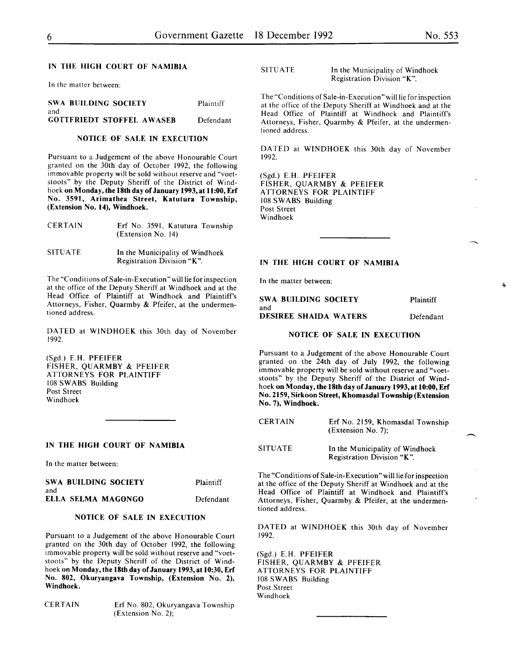## IN THE HIGH COURT OF NAMIBIA

In the matter between:

| <b>SWA BUILDING SOCIETY</b>             | Plaintiff |
|-----------------------------------------|-----------|
| and<br><b>GOTTFRIEDT STOFFEL AWASER</b> | Defendant |

## NOTICE OF SALE IN EXECUTION

Pursuant to a Judgement of the above Honourable Court granted on the 30th day of October 1992, the following immovable property will be sold without reserve and "voetstoots" by the Deputy Sheriff of the District of Windhoek on Monday, the 18th day of January 1993, at 11:00, Erf No. 3591, Arimathea Street, Katutura Township, (Extension No. 14), Windhoek.

| <b>CERTAIN</b> | Erf No. 3591, Katutura Township<br>(Extension No. 14)         |  |
|----------------|---------------------------------------------------------------|--|
| <b>SITUATE</b> | In the Municipality of Windhoek<br>Registration Division "K". |  |

The "Conditions of.Sale-in-Execution" will lie for inspection at the office of the Deputy Sheriff at Windhoek and at the Head Office of Plaintiff at Windhoek and Plaintiff's Attorneys, Fisher, Quarmby & Pfeifer, at the undermentioned address.

DATED at WINDHOEK this 30th day of November 1992.

(Sgd.) E.H. PFEIFER FISHER, QUARMBY & PFEIFER ATTORNEYS FOR PLAINTIFF 108 SWABS Building Post Street Windhoek

#### IN THE HIGH COURT OF NAMIBIA

In the matter between:

|     | SWA BUILDING SOCIETY | Plaintiff |
|-----|----------------------|-----------|
| and |                      |           |
|     | ELLA SELMA MAGONGO   | Defendant |

## NOTICE OF SALE IN EXECUTION

Pursuant to a Judgement of the above Honourable Court granted on the 30th day of October 1992, the following immovable property will be sold without reserve and "voetstoots" by the Deputy Sheriff of the District of Windhoek on Monday, the 18th day of January 1993, at 10:30, Erf No. 802, Okuryangava Township, (Extension No. 2), Windhoek.

CERTAIN Erf No. 802, Okuryangava Township (Extension No. 2);

| <b>SITUATE</b> | In the Municipality of Windhoek |
|----------------|---------------------------------|
|                | Registration Division "K".      |

The "Conditions of Sale-in-Execution" will lie for inspection at the office of the Deputy Sheriff at Windhoek and at the Head Office of Plaintiff at Windhoek and Plaintiff's Attorneys, Fisher, Quarmby & Pfeifer, at the undermentioned address.

DATED at WINDHOEK this 30th day of November 1992.

(Sgd.) E.H. PFEIFER FISHER, QUARMBY & PFEIFER ATTORNEYS FOR PLAINTIFF 108 SWABS Building Post Street Windhoek

## IN THE HIGH COURT OF NAMIBIA

In the matter between:

| <b>SWA BUILDING SOCIETY</b>  | Plaintiff |
|------------------------------|-----------|
| and                          |           |
| <b>DESIREE SHAIDA WATERS</b> | Defendant |

## NOTICE OF SALE IN EXECUTION

Pursuant to a Judgement of the above Honourable Court granted on the 24th day of July 1992, the following immovable property will be sold without reserve and "voetstoots" by the Deputy Sheriff of the District of Windhoek on Monday, the 18th day of January 1993, at 10:00, Erf No. 2159, Sirkoon Street, Khomasdal Township (Extension No.7), Windhoek.

| <b>CERTAIN</b> | Erf No. 2159, Khomasdal Township<br>(Extension No. 7):        |
|----------------|---------------------------------------------------------------|
| <b>SITUATE</b> | In the Municipality of Windhoek<br>Registration Division "K". |

The "Conditions of Sale-in-Execution" will lie for inspection at the office of the Deputy Sheriff at Windhoek and at the Head Office of Plaintiff at Windhoek and Plaintiff's Attorneys, Fisher, Quarmby & Pfeifer, at the undermentioned address.

DATED at WINDHOEK this 30th day of November 1992.

(Sgd.) E.H. PFEIFER FISHER, QUARMBY & PFEIFER ATTORNEYS FOR PLAINTIFF 108 SWABS Building Post Street Windhoek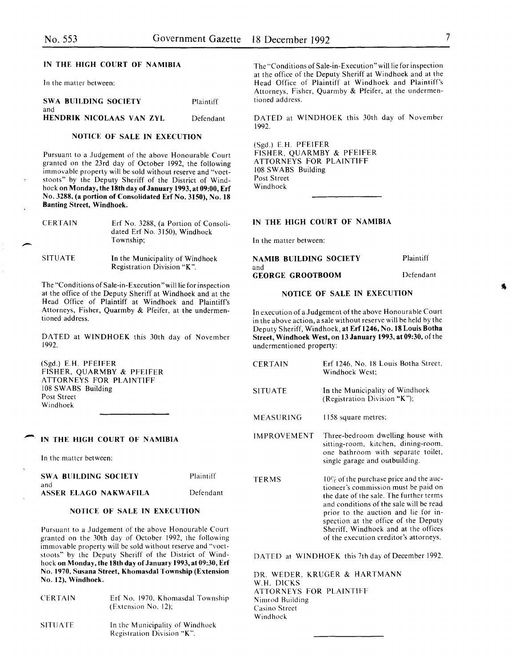-

SITUATE

tioned address.

## IN THE HIGH COURT OF NAMIBIA

In the matter between:

| <b>SWA BUILDING SOCIETY</b> | Plaintiff |
|-----------------------------|-----------|
| and                         |           |
| HENDRIK NICOLAAS VAN ZYL    | Defendant |

#### NOTICE OF SALE IN EXECUTION

Pursuant to a Judgement of the above Honourable Court granted on the 23rd day of October 1992, the following immovable property will be sold without reserve and "voetstoots" by the Deputy Sheriff of the District of Windhoek on Monday, the 18th day of January 1993, at 09:00, Erf No. 3288, (a portion of Consolidated Erf No. 3150), No. 18 Banting Street, Windhoek.

| <b>CERTAIN</b> | Erf No. 3288, (a Portion of Consoli-<br>dated Erf No. 3150), Windhoek<br>Township: |
|----------------|------------------------------------------------------------------------------------|
|                |                                                                                    |

In the Municipality of Windhoek Registration Division "K ".

The "Conditions of Sale-in-Execution "will lie for inspection at the office of the Deputy Sheriff at Windhoek and at the Head Office of Plaintiff at Windhoek and Plaintiff's Attorneys, Fisher, Quarmby & Pfeifer, at the undermen-

DATED at WINDHOEK this 30th day of November 1992.

(Sgd.) E.H. PFEIFER FISHER, QUARMBY & PFEIFER ATTORNEYS FOR PLAINTIFF 108 SWABS Building Post Street Windhoek

#### IN THE HIGH COURT OF NAMIBIA

In the matter between:

| <b>SWA BUILDING SOCIETY</b>   | Plaintiff |
|-------------------------------|-----------|
| -and<br>ASSER ELAGO NAKWAFILA | Defendant |

#### NOTICE OF SALE IN EXECUTION

Pursuant to a Judgement of the above Honourable Court granted on the 30th day of October 1992, the following immovable property will be sold without reserve and "voetstoots" by the Deputy Sheriff of the District of Windhoek on Monday, the 18th day of January 1993, at 09:30, Erf No. 1970, Susana Street, Khomasdal Township (Extension No. 12), Windhoek.

| <b>CERTAIN</b> | Erf No. 1970, Khomasdal Township<br>(Extension No. 12):       |
|----------------|---------------------------------------------------------------|
| <b>SITUATE</b> | In the Municipality of Windhoek<br>Registration Division "K". |

The "Conditions of Sale-in-Execution" will lie for inspection at the office of the Deputy Sheriff at Windhoek and at the Head Office of Plaintiff at Windhoek and Plaintiff's Attorneys, Fisher, Quarmby & Pfeifer, at the undermentioned address.

DATED at WINDHOEK this 30th day of November 1992.

(Sgd.) E.H. PFEIFER FISHER, QUARMBY & PFEIFER ATTORNEYS FOR PLAINTIFF 108 SWABS Building Post Street Windhoek

## IN THE HIGH COURT OF NAMIBIA

In the matter between:

| <b>NAMIB BUILDING SOCIETY</b> | Plaintiff |
|-------------------------------|-----------|
| and                           |           |
| <b>GEORGE GROOTBOOM</b>       | Defendant |

## NOTICE OF SALE IN EXECUTION

In execution of a Judgement of the above Honourable Court in the above action, a sale without reserve will be held by the Deputy Sheriff, Windhoek, at Erf 1246, No. 18 Louis Botha Street, Windhoek West, on 13 January 1993, at 09:30, of the undermentioned property:

| <b>CERTAIN</b>     | Erf 1246, No. 18 Louis Botha Street,<br>Windhoek West;                                                                                                                                                                                                                                                                                    |
|--------------------|-------------------------------------------------------------------------------------------------------------------------------------------------------------------------------------------------------------------------------------------------------------------------------------------------------------------------------------------|
| <b>SITUATE</b>     | In the Municipality of Windhoek<br>(Registration Division "K");                                                                                                                                                                                                                                                                           |
| MEASURING          | 1158 square metres;                                                                                                                                                                                                                                                                                                                       |
| <b>IMPROVEMENT</b> | Three-bedroom dwelling house with<br>sitting-room, kitchen, dining-room,<br>one bathroom with separate toilet,<br>single garage and outbuilding.                                                                                                                                                                                          |
| <b>TERMS</b>       | $10\%$ of the purchase price and the auc-<br>tioneer's commission must be paid on<br>the date of the sale. The further terms<br>and conditions of the sale will be read<br>prior to the auction and lie for in-<br>spection at the office of the Deputy<br>Sheriff, Windhoek and at the offices<br>of the execution creditor's attorneys. |

DATED at WINDHOEK this 7th day of December 1992.

DR. WEDER. KRUGER & HARTMANN W.H. DICKS ATTORNEYS FOR PLAINTIFF Nimrod Building Casino Street Windhoek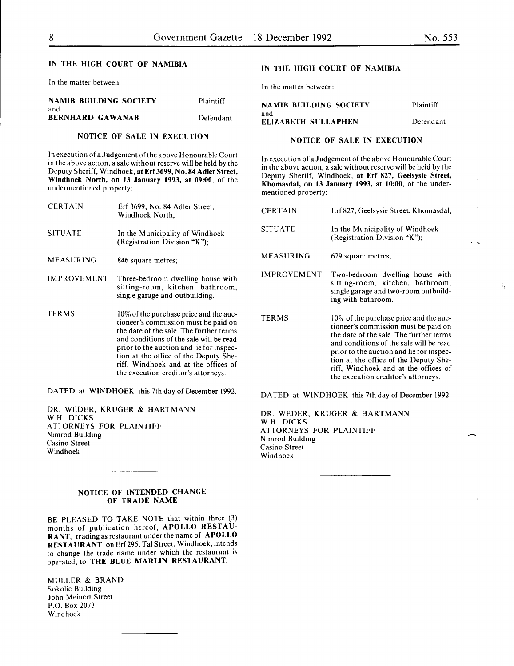ăе

## IN THE HIGH COURT OF NAMIBIA

In the matter between:

#### NAMIB BUILDING SOCIETY and Plaintiff

BERNHARD GAWANAB Defendant

## NOTICE OF SALE IN EXECUTION

In execution of a Judgement of the above Honourable Court in the above action, a sale without reserve will be held by the Deputy Sheriff, Windhoek, at Erf3699, No. 84 Adler Street, Windhoek North, on 13 January 1993, at 09:00, of the undermentioned property:

| <b>CERTAIN</b>     | Erf 3699, No. 84 Adler Street,<br>Windhoek North:                                                                            |
|--------------------|------------------------------------------------------------------------------------------------------------------------------|
| <b>SITUATE</b>     | In the Municipality of Windhoek<br>(Registration Division "K");                                                              |
| <b>MEASURING</b>   | 846 square metres;                                                                                                           |
| <b>IMPROVEMENT</b> | Three-bedroom dwelling house with<br>sitting-room, kitchen, bathroom,<br>single garage and outbuilding.                      |
| <b>TERMS</b>       | $10\%$ of the purchase price and the auc-<br>tioneer's commission must be paid on<br>the date of the sale. The further terms |

and conditions of the sale will be read prior to the auction and lie for inspection at the office of the Deputy Sheriff, Windhoek and at the offices of the execution creditor's attorneys.

DATED at WINDHOEK this 7th day of December 1992.

DR. WEDER, KRUGER & HARTMANN W.H. DICKS ATTORNEYS FOR PLAINTIFF Nimrod Building Casino Street Windhoek

## NOTICE OF INTENDED CHANGE OF TRADE NAME

BE PLEASED TO TAKE NOTE that within three (3) months of publication hereof, APOLLO RESTAU-RANT, trading as restaurant under the name of APOLLO RESTAURANT on Erf 295, Tal Street, Windhoek, intends to change the trade name under which the restaurant is operated, to THE BLUE MARLIN RESTAURANT.

MULLER & BRAND Sokolic Building John Meinert Street P.O. Box 2073 Windhoek

## IN THE HIGH COURT OF NAMIBIA

In the matter between:

#### NAMIB BUILDING SOCIETY and Plaintiff ELIZABETH SULLAPHEN Defendant

## NOTICE OF SALE IN EXECUTION

In execution of a Judgement of the above Honourable Court in the above action, a sale without reserve will be held by the Deputy Sheriff, Windhoek, at Erf 827, Geelsysie Street, Khomasdal, on 13 January 1993, at 10:00, of the undermentioned property:

| <b>CERTAIN</b>     | Erf 827, Geelsysie Street, Khomasdal;                                                                                                                                                                                                                                                                                                    |
|--------------------|------------------------------------------------------------------------------------------------------------------------------------------------------------------------------------------------------------------------------------------------------------------------------------------------------------------------------------------|
| <b>SITUATE</b>     | In the Municipality of Windhoek<br>(Registration Division "K");                                                                                                                                                                                                                                                                          |
| MEASURING          | 629 square metres;                                                                                                                                                                                                                                                                                                                       |
| <b>IMPROVEMENT</b> | Two-bedroom dwelling house with<br>sitting-room, kitchen, bathroom,<br>single garage and two-room outbuild-<br>ing with bathroom.                                                                                                                                                                                                        |
| <b>TERMS</b>       | 10% of the purchase price and the auc-<br>tioneer's commission must be paid on<br>the date of the sale. The further terms<br>and conditions of the sale will be read<br>prior to the auction and lie for inspec-<br>tion at the office of the Deputy She-<br>riff, Windhoek and at the offices of<br>the execution creditor's attorneys. |

DATED at WINDHOEK this 7th day of December 1992.

DR. WEDER, KRUGER & HARTMANN W.H. DICKS ATTORNEYS FOR PLAINTIFF Nimrod Building Casino Street Windhoek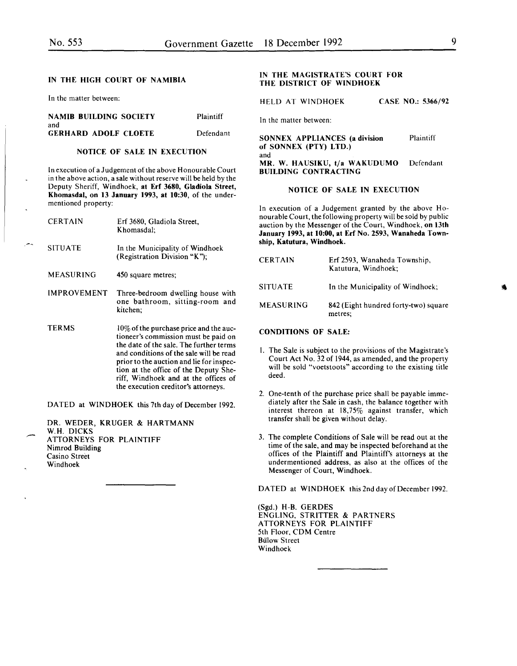## IN THE HIGH COURT OF NAMIBIA

In the matter between:

| <b>NAMIB BUILDING SOCIETY</b>      | <b>Plaintiff</b> |
|------------------------------------|------------------|
| and<br><b>GERHARD ADOLF CLOETE</b> | Defendant        |
|                                    |                  |

## NOTICE OF SALE IN EXECUTION

In execution of a Judgement of the above Honourable Court in the above action, a sale without reserve will be held by the Deputy Sheriff, Windhoek, at Erf 3680, Gladiola Street, Khomasdal, on 13 January 1993, at 10:30, of the undermentioned property:

| <b>CERTAIN</b>     | Erf 3680, Gladiola Street,<br>Khomasdal:                                                                                                                                                                                                                                                                                                    |
|--------------------|---------------------------------------------------------------------------------------------------------------------------------------------------------------------------------------------------------------------------------------------------------------------------------------------------------------------------------------------|
| <b>SITUATE</b>     | In the Municipality of Windhoek<br>(Registration Division "K"):                                                                                                                                                                                                                                                                             |
| MEASURING          | 450 square metres;                                                                                                                                                                                                                                                                                                                          |
| <b>IMPROVEMENT</b> | Three-bedroom dwelling house with<br>one bathroom, sitting-room and<br>kitchen:                                                                                                                                                                                                                                                             |
| TERMS              | $10\%$ of the purchase price and the auc-<br>tioneer's commission must be paid on<br>the date of the sale. The further terms<br>and conditions of the sale will be read<br>prior to the auction and lie for inspec-<br>tion at the office of the Deputy She-<br>riff, Windhoek and at the offices of<br>the execution creditor's attorneys. |

DATED at WINDHOEK this 7th day of December 1992.

|                                |  | DR. WEDER, KRUGER & HARTMANN |
|--------------------------------|--|------------------------------|
| W.H. DICKS                     |  |                              |
| <b>ATTORNEYS FOR PLAINTIFF</b> |  |                              |
| Nimrod Building                |  |                              |
| Casino Street                  |  |                              |
| Windhoek                       |  |                              |
|                                |  |                              |

## IN THE MAGISTRATE'S COURT FOR THE DISTRICT OF WINDHOEK

HELD AT WINDHOEK CASE NO.: 5366/92

In the matter between:

SONNEX APPLIANCES (a division Plaintiff of SONNEX (PTY) LTD.) and MR. W. HAUSIKU, t/a WAKUDUMO Defendant BUILDING CONTRACTING

#### NOTICE OF SALE IN EXECUTION

In execution of a Judgement granted by the above Honourable Court, the following property will be sold by public auction by the Messenger of the Court, Windhoek, on 13th January 1993, at 10:00, at Erf No. 2593, Wanaheda Township, Katutura, Windhoek.

| <b>CERTAIN</b>   | Erf 2593, Wanaheda Township,<br>Katutura, Windhoek; |
|------------------|-----------------------------------------------------|
| <b>SITUATE</b>   | In the Municipality of Windhoek;                    |
| <b>MEASURING</b> | 842 (Eight hundred forty-two) square<br>metres;     |

## CONDITIONS OF SALE:

- I. The Sale is subject to the provisions of the Magistrate's Court Act No. 32 of 1944, as amended, and the property will be sold "voetstoots" according to the existing title deed.
- 2. One-tenth of the purchase price shall be payable immediately after the Sale in cash, the balance together with interest thereon at 18,75% against transfer, which transfer shall be given without delay.
- 3. The complete Conditions of Sale will be read out at the time of the sale, and may be inspected beforehand at the offices of the Plaintiff and Plaintiff's attorneys at the undermentioned address, as also at the offices of the Messenger of Court, Windhoek.

DATED at WINDHOEK this 2nd day of December 1992.

(Sgd.) H-B. GERDES ENGLING, STRITTER & PARTNERS ATTORNEYS FOR PLAINTIFF 5th Floor, CDM Centre **Bülow Street** Windhoek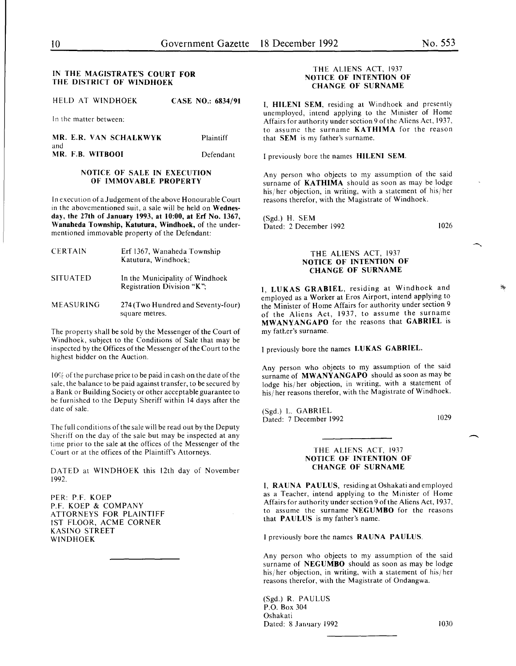## IN THE MAGISTRATE'S COURT FOR THE DISTRICT OF WINDHOEK

HELD AT WINDHOEK CASE NO.: 6834/91

In the matter between:

MR. E.R. VAN SCHALKWYK Plaintiff and MR. F.B. WITBOOI Defendant

#### NOTICE OF SALE IN EXECUTION OF IMMOVABLE PROPERTY

In execution of a Judgement of the above Honourable Court in the abovementioned suit, a sale will be held on Wednesday, the 27th of January 1993, at 10:00, at Erf No. 1367, Wanaheda Township, Katutura, Windhoek, of the undermentioned immovable property of the Defendant:

| <b>CERTAIN</b>  | Erf 1367, Wanaheda Township<br>Katutura, Windhoek:            |
|-----------------|---------------------------------------------------------------|
| <b>SITUATED</b> | In the Municipality of Windhoek<br>Registration Division "K": |
|                 |                                                               |

MEASURING 274 (Two Hundred and Seventy-four) square metres.

The property shall be sold by the Messenger of the Court of Windhoek, subject to the Conditions of Sale that may be inspected by the Offices of the Messenger of the Court to the highest bidder on the Auction.

 $10\%$  of the purchase price to be paid in cash on the date of the sale, the balance to be paid against transfer, to be secured by a Bank or Building Society or other acceptable guarantee to be furnished to the Deputy Sheriff within 14 days after the date of sale.

The full conditions of the sale will be read out by the Deputy Sheriff on the day of the sale but may be inspected at any time prior to the sale at the offices of the Messenger of the Court or at the offices of the Plaintiff's Attorneys.

DATED at WINDHOEK this 12th day of November 1992.

PER: P.F. KOEP P.F. KOEP & COMPANY ATTORNEYS FOR PLAINTIFF 1ST FLOOR, ACME CORNER KASINO STREET WINDHOEK

## THE ALIENS ACT, 1937 NOTICE OF INTENTION OF CHANGE OF SURNAME

I, HILENI SEM, residing at Windhoek and presently unemployed, intend applying to the Minister of Home Affairs for authority under section 9 of the Aliens Act, 1937, to assume the surname KATHIMA for the reason that SEM is my father's surname.

I previously bore the names HILENI SEM.

Any person who objects to my assumption of the said surname of KATHIMA should as soon as may be lodge his/ her objection, in writing, with a statement of his/ her reasons therefor, with the Magistrate of Windhoek.

(Sgd.) H. SEM Dated: 2 December 1992

1026

## THE ALIENS ACT, 1937 NOTICE OF INTENTION OF CHANGE OF SURNAME

I, LUKAS GRABIEL, residing at Windhoek and employed as a Worker at Eros Airport, intend applying to the Minister of Home Affairs for authority under section 9 of the Aliens Act, 1937, to assume the surname MWANYANGAPO for the reasons that GABRIEL is my father's surname.

I previously bore the names LUKAS GABRIEL.

Any person who objects to my assumption of the said surname of MWANYANGAPO should as soon as may be lodge his/ her objection, in writing, with a statement of his/ her reasons therefor, with the Magistrate of Windhoek.

(Sgd.) L. GABRIEL Dated: 7 December 1992

1029

## THE ALIENS ACT, 1937 NOTICE OF INTENTION OF CHANGE OF SURNAME

I, RAUNA PAULUS, residingatOshakatiandemployed as a Teacher, intend applying to the Minister of Home Affairs for authority under section 9 of the Aliens Act, 1937, to assume the surname NEGUMBO for the reasons that PAULUS is my father's name.

I previously bore the names RAUNA PAULUS.

Any person who objects to my assumption of the said surname of NEGUMBO should as soon as may be lodge his/her objection, in writing, with a statement of his/her reasons therefor, with the Magistrate of Ondangwa.

(Sgd.) R. PAULUS P.O. Box 304 Oshakati Dated: 8 January 1992 1030